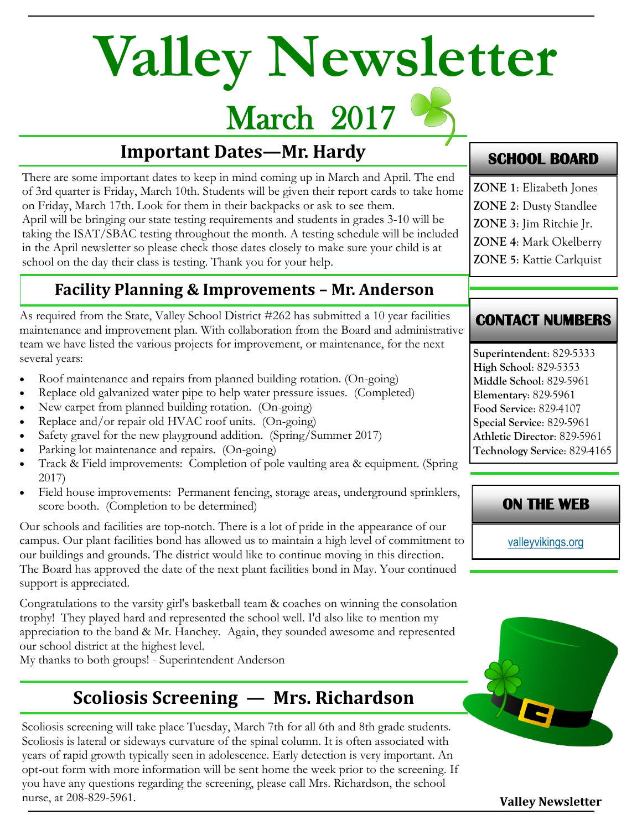# **Valley Newsletter**

## March 2017

#### **Important Dates—Mr. Hardy**

There are some important dates to keep in mind coming up in March and April. The end of 3rd quarter is Friday, March 10th. Students will be given their report cards to take home on Friday, March 17th. Look for them in their backpacks or ask to see them. April will be bringing our state testing requirements and students in grades 3-10 will be taking the ISAT/SBAC testing throughout the month. A testing schedule will be included in the April newsletter so please check those dates closely to make sure your child is at school on the day their class is testing. Thank you for your help.

#### **Facility Planning & Improvements – Mr. Anderson**

As required from the State, Valley School District #262 has submitted a 10 year facilities maintenance and improvement plan. With collaboration from the Board and administrative team we have listed the various projects for improvement, or maintenance, for the next several years:

- Roof maintenance and repairs from planned building rotation. (On-going)
- Replace old galvanized water pipe to help water pressure issues. (Completed)
- New carpet from planned building rotation. (On-going)
- Replace and/or repair old HVAC roof units. (On-going)
- Safety gravel for the new playground addition. (Spring/Summer 2017)
- Parking lot maintenance and repairs. (On-going)
- Track & Field improvements: Completion of pole vaulting area & equipment. (Spring 2017)
- Field house improvements: Permanent fencing, storage areas, underground sprinklers, score booth. (Completion to be determined)

Our schools and facilities are top-notch. There is a lot of pride in the appearance of our campus. Our plant facilities bond has allowed us to maintain a high level of commitment to our buildings and grounds. The district would like to continue moving in this direction. The Board has approved the date of the next plant facilities bond in May. Your continued support is appreciated.

Congratulations to the varsity girl's basketball team & coaches on winning the consolation trophy! They played hard and represented the school well. I'd also like to mention my appreciation to the band & Mr. Hanchey. Again, they sounded awesome and represented our school district at the highest level.

My thanks to both groups! - Superintendent Anderson

### **Scoliosis Screening — Mrs. Richardson**

Scoliosis screening will take place Tuesday, March 7th for all 6th and 8th grade students. Scoliosis is lateral or sideways curvature of the spinal column. It is often associated with years of rapid growth typically seen in adolescence. Early detection is very important. An opt-out form with more information will be sent home the week prior to the screening. If you have any questions regarding the screening, please call Mrs. Richardson, the school nurse, at 208-829-5961.

#### **SCHOOL BOARD**

- **ZONE 1**: Elizabeth Jones
- **ZONE 2**: Dusty Standlee
- **ZONE 3**: Jim Ritchie Jr.
- **ZONE 4**: Mark Okelberry
- **ZONE 5**: Kattie Carlquist

#### **CONTACT NUMBERS**

**Superintendent**: 829-5333 **High School**: 829-5353 **Middle School**: 829-5961 **Elementary**: 829-5961 **Food Service**: 829-4107 **Special Service**: 829-5961 **Athletic Director**: 829-5961 **Technology Service**: 829-4165

#### **ON THE WEB**

[valleyvikings.org](http://www.valleyvikings.org/)



**Valley Newsletter**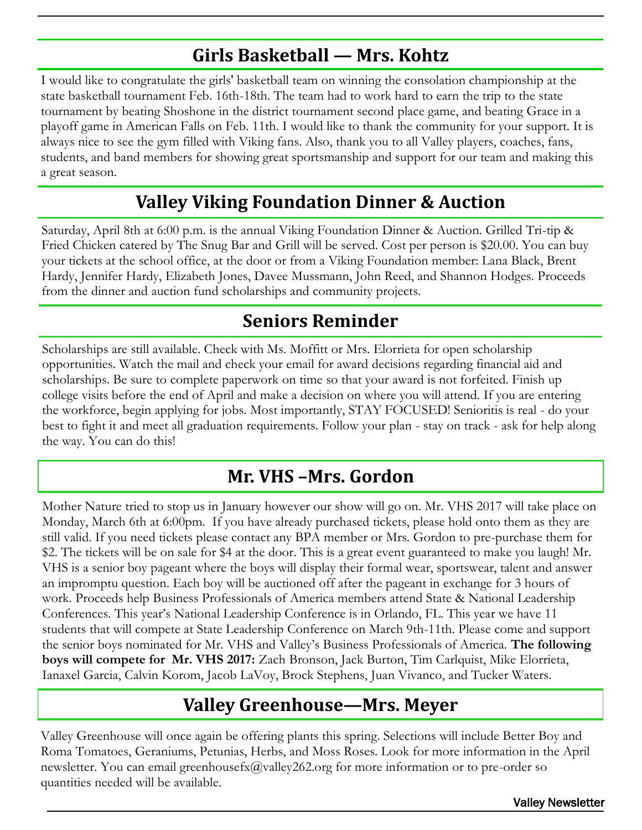#### **Girls Basketball — Mrs. Kohtz**

I would like to congratulate the girls' basketball team on winning the consolation championship at the state basketball tournament Feb. 16th-18th. The team had to work hard to earn the trip to the state tournament by beating Shoshone in the district tournament second place game, and beating Grace in a playoff game in American Falls on Feb. 11th. I would like to thank the community for your support. It is always nice to see the gym filled with Viking fans. Also, thank you to all Valley players, coaches, fans, students, and band members for showing great sportsmanship and support for our team and making this a great season.

#### **Valley Viking Foundation Dinner & Auction**

Saturday, April 8th at 6:00 p.m. is the annual Viking Foundation Dinner & Auction. Grilled Tri-tip & Fried Chicken catered by The Snug Bar and Grill will be served. Cost per person is \$20.00. You can buy your tickets at the school office, at the door or from a Viking Foundation member: Lana Black, Brent Hardy, Jennifer Hardy, Elizabeth Jones, Davee Mussmann, John Reed, and Shannon Hodges. Proceeds from the dinner and auction fund scholarships and community projects.

#### **Seniors Reminder**

Scholarships are still available. Check with Ms. Moffitt or Mrs. Elorrieta for open scholarship opportunities. Watch the mail and check your email for award decisions regarding financial aid and scholarships. Be sure to complete paperwork on time so that your award is not forfeited. Finish up college visits before the end of April and make a decision on where you will attend. If you are entering the workforce, begin applying for jobs. Most importantly, STAY FOCUSED! Senioritis is real - do your best to fight it and meet all graduation requirements. Follow your plan - stay on track - ask for help along the way. You can do this!

#### **Mr. VHS –Mrs. Gordon**

Mother Nature tried to stop us in January however our show will go on. Mr. VHS 2017 will take place on Monday, March 6th at 6:00pm. If you have already purchased tickets, please hold onto them as they are still valid. If you need tickets please contact any BPA member or Mrs. Gordon to pre-purchase them for \$2. The tickets will be on sale for \$4 at the door. This is a great event guaranteed to make you laugh! Mr. VHS is a senior boy pageant where the boys will display their formal wear, sportswear, talent and answer an impromptu question. Each boy will be auctioned off after the pageant in exchange for 3 hours of work. Proceeds help Business Professionals of America members attend State & National Leadership Conferences. This year's National Leadership Conference is in Orlando, FL. This year we have 11 students that will compete at State Leadership Conference on March 9th-11th. Please come and support the senior boys nominated for Mr. VHS and Valley's Business Professionals of America. **The following boys will compete for Mr. VHS 2017:** Zach Bronson, Jack Burton, Tim Carlquist, Mike Elorrieta, Ianaxel Garcia, Calvin Korom, Jacob LaVoy, Brock Stephens, Juan Vivanco, and Tucker Waters.

#### **Valley Greenhouse—Mrs. Meyer**

Valley Greenhouse will once again be offering plants this spring. Selections will include Better Boy and Roma Tomatoes, Geraniums, Petunias, Herbs, and Moss Roses. Look for more information in the April newsletter. You can email greenhousefx@valley262.org for more information or to pre-order so quantities needed will be available.